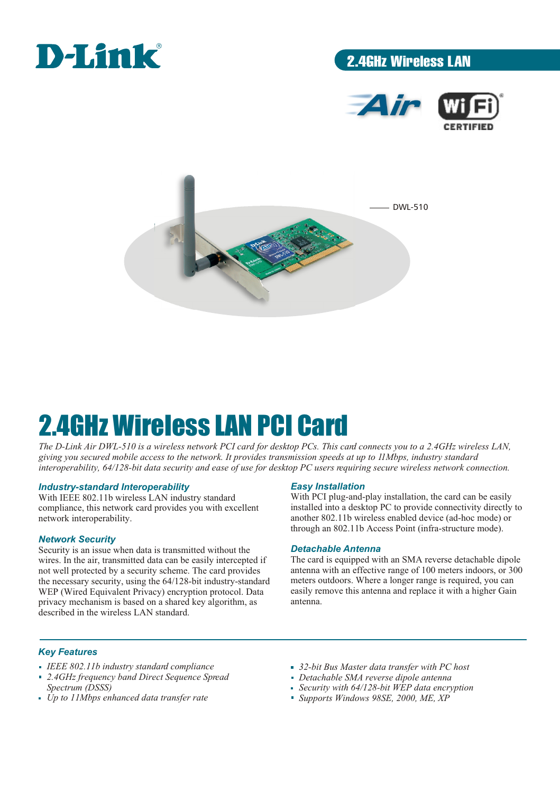

# 2.4GHz Wireless LAN





# 2.4GHz Wireless LAN PCI Card

*The D-Link Air DWL-510 is a wireless network PCI card for desktop PCs. This card connects you to a 2.4GHz wireless LAN, giving you secured mobile access to the network. It provides transmission speeds at up to 11Mbps, industry standard interoperability, 64/128-bit data security and ease of use for desktop PC users requiring secure wireless network connection.* 

## *Industry-standard Interoperability*

With IEEE 802.11b wireless LAN industry standard compliance, this network card provides you with excellent network interoperability.

## *Network Security*

Security is an issue when data is transmitted without the wires. In the air, transmitted data can be easily intercepted if not well protected by a security scheme. The card provides the necessary security, using the 64/128-bit industry-standard WEP (Wired Equivalent Privacy) encryption protocol. Data privacy mechanism is based on a shared key algorithm, as described in the wireless LAN standard.

### *Easy Installation*

With PCI plug-and-play installation, the card can be easily installed into a desktop PC to provide connectivity directly to another 802.11b wireless enabled device (ad-hoc mode) or through an 802.11b Access Point (infra-structure mode).

#### *Detachable Antenna*

The card is equipped with an SMA reverse detachable dipole antenna with an effective range of 100 meters indoors, or 300 meters outdoors. Where a longer range is required, you can easily remove this antenna and replace it with a higher Gain antenna.

## *Key Features*

- *IEEE 802.11b industry standard compliance*
- *2.4GHz frequency band Direct Sequence Spread Spectrum (DSSS)*
- *Up to 11Mbps enhanced data transfer rate*
- *32-bit Bus Master data transfer with PC host*
- *Detachable SMA reverse dipole antenna*
- *Security with 64/128-bit WEP data encryption*
- *Supports Windows 98SE, 2000, ME, XP*